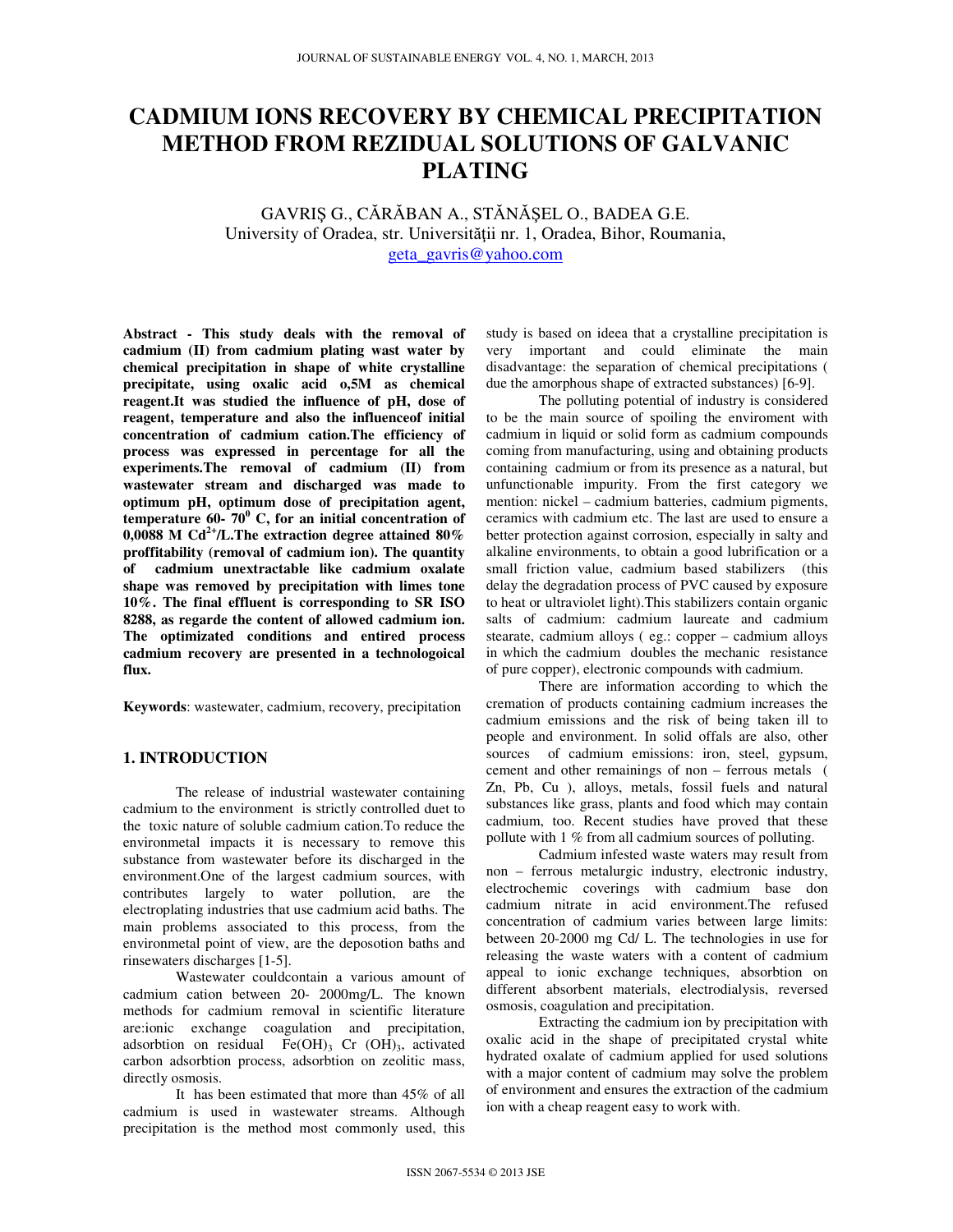# **CADMIUM IONS RECOVERY BY CHEMICAL PRECIPITATION METHOD FROM REZIDUAL SOLUTIONS OF GALVANIC PLATING**

GAVRIŞ G., CĂRĂBAN A., STĂNĂŞEL O., BADEA G.E. University of Oradea, str. Universității nr. 1, Oradea, Bihor, Roumania. geta\_gavris@yahoo.com

**Abstract - This study deals with the removal of cadmium (II) from cadmium plating wast water by chemical precipitation in shape of white crystalline precipitate, using oxalic acid o,5M as chemical reagent.It was studied the influence of pH, dose of reagent, temperature and also the influenceof initial concentration of cadmium cation.The efficiency of process was expressed in percentage for all the experiments.The removal of cadmium (II) from wastewater stream and discharged was made to optimum pH, optimum dose of precipitation agent, temperature 60- 70<sup>0</sup> C, for an initial concentration of 0,0088 M Cd2+/L.The extraction degree attained 80% proffitability (removal of cadmium ion). The quantity of cadmium unextractable like cadmium oxalate shape was removed by precipitation with limes tone 10%. The final effluent is corresponding to SR ISO 8288, as regarde the content of allowed cadmium ion. The optimizated conditions and entired process cadmium recovery are presented in a technologoical flux.** 

**Keywords**: wastewater, cadmium, recovery, precipitation

## **1. INTRODUCTION**

The release of industrial wastewater containing cadmium to the environment is strictly controlled duet to the toxic nature of soluble cadmium cation.To reduce the environmetal impacts it is necessary to remove this substance from wastewater before its discharged in the environment.One of the largest cadmium sources, with contributes largely to water pollution, are the electroplating industries that use cadmium acid baths. The main problems associated to this process, from the environmetal point of view, are the deposotion baths and rinsewaters discharges [1-5].

 Wastewater couldcontain a various amount of cadmium cation between 20- 2000mg/L. The known methods for cadmium removal in scientific literature are:ionic exchange coagulation and precipitation, adsorbtion on residual  $Fe(OH)$ <sub>3</sub> Cr  $(OH)$ <sub>3</sub>, activated carbon adsorbtion process, adsorbtion on zeolitic mass, directly osmosis.

 It has been estimated that more than 45% of all cadmium is used in wastewater streams. Although precipitation is the method most commonly used, this study is based on ideea that a crystalline precipitation is very important and could eliminate the main disadvantage: the separation of chemical precipitations ( due the amorphous shape of extracted substances) [6-9].

 The polluting potential of industry is considered to be the main source of spoiling the enviroment with cadmium in liquid or solid form as cadmium compounds coming from manufacturing, using and obtaining products containing cadmium or from its presence as a natural, but unfunctionable impurity. From the first category we mention: nickel – cadmium batteries, cadmium pigments, ceramics with cadmium etc. The last are used to ensure a better protection against corrosion, especially in salty and alkaline environments, to obtain a good lubrification or a small friction value, cadmium based stabilizers (this delay the degradation process of PVC caused by exposure to heat or ultraviolet light).This stabilizers contain organic salts of cadmium: cadmium laureate and cadmium stearate, cadmium alloys ( eg.: copper – cadmium alloys in which the cadmium doubles the mechanic resistance of pure copper), electronic compounds with cadmium.

 There are information according to which the cremation of products containing cadmium increases the cadmium emissions and the risk of being taken ill to people and environment. In solid offals are also, other sources of cadmium emissions: iron, steel, gypsum, cement and other remainings of non – ferrous metals ( Zn, Pb, Cu ), alloys, metals, fossil fuels and natural substances like grass, plants and food which may contain cadmium, too. Recent studies have proved that these pollute with 1 % from all cadmium sources of polluting.

 Cadmium infested waste waters may result from non – ferrous metalurgic industry, electronic industry, electrochemic coverings with cadmium base don cadmium nitrate in acid environment.The refused concentration of cadmium varies between large limits: between 20-2000 mg Cd/ L. The technologies in use for releasing the waste waters with a content of cadmium appeal to ionic exchange techniques, absorbtion on different absorbent materials, electrodialysis, reversed osmosis, coagulation and precipitation.

 Extracting the cadmium ion by precipitation with oxalic acid in the shape of precipitated crystal white hydrated oxalate of cadmium applied for used solutions with a major content of cadmium may solve the problem of environment and ensures the extraction of the cadmium ion with a cheap reagent easy to work with.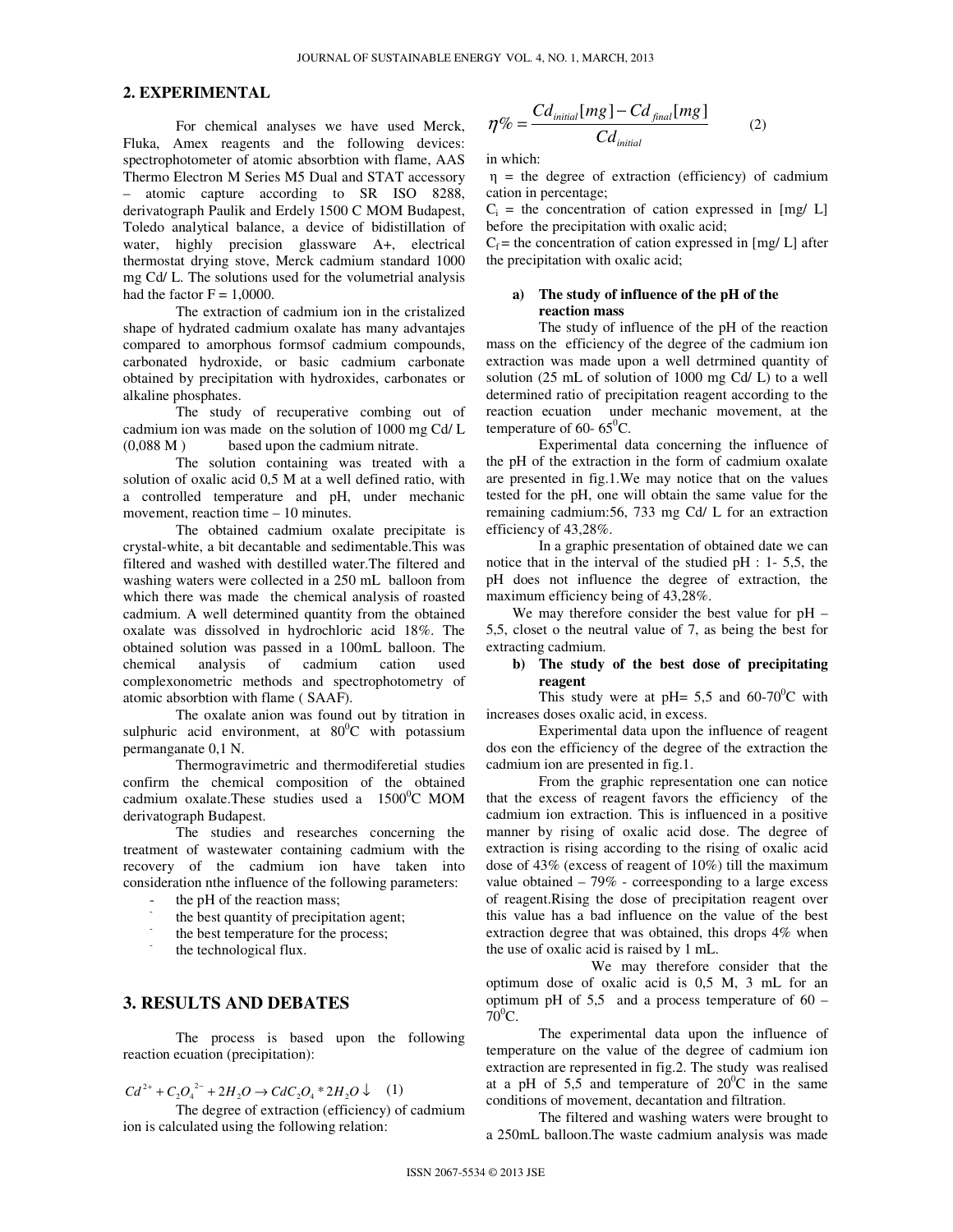#### **2. EXPERIMENTAL**

 For chemical analyses we have used Merck, Fluka, Amex reagents and the following devices: spectrophotometer of atomic absorbtion with flame, AAS Thermo Electron M Series M5 Dual and STAT accessory – atomic capture according to SR ISO 8288, derivatograph Paulik and Erdely 1500 C MOM Budapest, Toledo analytical balance, a device of bidistillation of water, highly precision glassware A+, electrical thermostat drying stove, Merck cadmium standard 1000 mg Cd/ L. The solutions used for the volumetrial analysis had the factor  $F = 1,0000$ .

 The extraction of cadmium ion in the cristalized shape of hydrated cadmium oxalate has many advantajes compared to amorphous formsof cadmium compounds, carbonated hydroxide, or basic cadmium carbonate obtained by precipitation with hydroxides, carbonates or alkaline phosphates.

 The study of recuperative combing out of cadmium ion was made on the solution of 1000 mg Cd/ L (0,088 M ) based upon the cadmium nitrate.

 The solution containing was treated with a solution of oxalic acid 0,5 M at a well defined ratio, with a controlled temperature and pH, under mechanic movement, reaction time – 10 minutes.

 The obtained cadmium oxalate precipitate is crystal-white, a bit decantable and sedimentable.This was filtered and washed with destilled water.The filtered and washing waters were collected in a 250 mL balloon from which there was made the chemical analysis of roasted cadmium. A well determined quantity from the obtained oxalate was dissolved in hydrochloric acid 18%. The obtained solution was passed in a 100mL balloon. The chemical analysis of cadmium cation used complexonometric methods and spectrophotometry of atomic absorbtion with flame ( SAAF).

 The oxalate anion was found out by titration in sulphuric acid environment, at  $80^{\circ}$ C with potassium permanganate 0,1 N.

 Thermogravimetric and thermodiferetial studies confirm the chemical composition of the obtained cadmium oxalate.These studies used a  $1500^{\circ}$ C MOM derivatograph Budapest.

 The studies and researches concerning the treatment of wastewater containing cadmium with the recovery of the cadmium ion have taken into consideration nthe influence of the following parameters:

- the pH of the reaction mass;
- the best quantity of precipitation agent;
- the best temperature for the process;
- the technological flux.

## **3. RESULTS AND DEBATES**

 The process is based upon the following reaction ecuation (precipitation):

## $Cd^{2+} + C_2O_4^{2-} + 2H_2O \rightarrow CdC_2O_4 * 2H_2O \downarrow$  (1)

 The degree of extraction (efficiency) of cadmium ion is calculated using the following relation:

$$
\eta\% = \frac{Cd_{initial}[mg] - Cd_{final}[mg]}{Cd_{initial}}
$$
 (2)

in which:

 $\eta$  = the degree of extraction (efficiency) of cadmium cation in percentage;

 $C_i$  = the concentration of cation expressed in [mg/ L] before the precipitation with oxalic acid;

 $C_f$  = the concentration of cation expressed in [mg/ L] after the precipitation with oxalic acid;

## **a) The study of influence of the pH of the reaction mass**

 The study of influence of the pH of the reaction mass on the efficiency of the degree of the cadmium ion extraction was made upon a well detrmined quantity of solution (25 mL of solution of 1000 mg Cd/ L) to a well determined ratio of precipitation reagent according to the reaction ecuation under mechanic movement, at the temperature of 60-  $65^{\circ}$ C.

 Experimental data concerning the influence of the pH of the extraction in the form of cadmium oxalate are presented in fig.1.We may notice that on the values tested for the pH, one will obtain the same value for the remaining cadmium:56, 733 mg Cd/ L for an extraction efficiency of 43,28%.

 In a graphic presentation of obtained date we can notice that in the interval of the studied pH : 1- 5,5, the pH does not influence the degree of extraction, the maximum efficiency being of 43,28%.

We may therefore consider the best value for pH – 5,5, closet o the neutral value of 7, as being the best for extracting cadmium.

#### **b) The study of the best dose of precipitating reagent**

This study were at pH= 5,5 and 60-70<sup>o</sup>C with increases doses oxalic acid, in excess.

 Experimental data upon the influence of reagent dos eon the efficiency of the degree of the extraction the cadmium ion are presented in fig.1.

From the graphic representation one can notice that the excess of reagent favors the efficiency of the cadmium ion extraction. This is influenced in a positive manner by rising of oxalic acid dose. The degree of extraction is rising according to the rising of oxalic acid dose of 43% (excess of reagent of 10%) till the maximum value obtained  $-79\%$  - correesponding to a large excess of reagent.Rising the dose of precipitation reagent over this value has a bad influence on the value of the best extraction degree that was obtained, this drops 4% when the use of oxalic acid is raised by 1 mL.

 We may therefore consider that the optimum dose of oxalic acid is 0,5 M, 3 mL for an optimum pH of  $5,5$  and a process temperature of  $60 70^0C$ .

The experimental data upon the influence of temperature on the value of the degree of cadmium ion extraction are represented in fig.2. The study was realised at a pH of 5,5 and temperature of  $20^0$ C in the same conditions of movement, decantation and filtration.

The filtered and washing waters were brought to a 250mL balloon.The waste cadmium analysis was made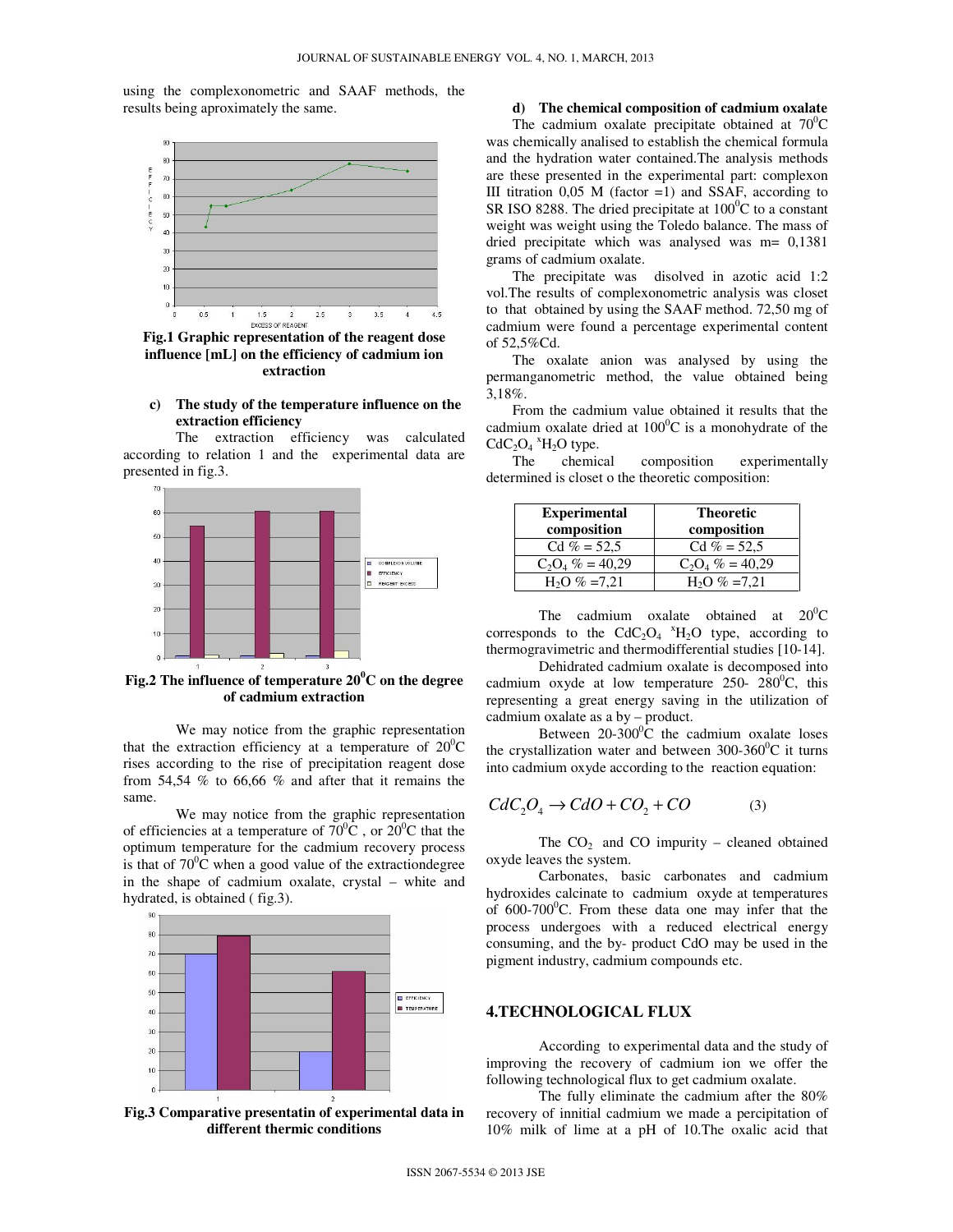using the complexonometric and SAAF methods, the results being aproximately the same.



**Fig.1 Graphic representation of the reagent dose influence [mL] on the efficiency of cadmium ion extraction** 

#### **c) The study of the temperature influence on the extraction efficiency**

The extraction efficiency was calculated according to relation 1 and the experimental data are presented in fig.3.



**Fig.2 The influence of temperature 20<sup>0</sup>C on the degree of cadmium extraction** 

 We may notice from the graphic representation that the extraction efficiency at a temperature of  $20^0C$ rises according to the rise of precipitation reagent dose from 54,54 % to 66,66 % and after that it remains the same.

 We may notice from the graphic representation of efficiencies at a temperature of  $70^0$ C, or  $20^0$ C that the optimum temperature for the cadmium recovery process is that of  $70^{\circ}$ C when a good value of the extractiondegree in the shape of cadmium oxalate, crystal – white and hydrated, is obtained ( fig.3).





## **d) The chemical composition of cadmium oxalate**

The cadmium oxalate precipitate obtained at  $70^0$ C was chemically analised to establish the chemical formula and the hydration water contained.The analysis methods are these presented in the experimental part: complexon III titration  $0,05$  M (factor =1) and SSAF, according to SR ISO 8288. The dried precipitate at  $100^{\circ}$ C to a constant weight was weight using the Toledo balance. The mass of dried precipitate which was analysed was m= 0,1381 grams of cadmium oxalate.

The precipitate was disolved in azotic acid 1:2 vol.The results of complexonometric analysis was closet to that obtained by using the SAAF method. 72,50 mg of cadmium were found a percentage experimental content of 52,5%Cd.

The oxalate anion was analysed by using the permanganometric method, the value obtained being 3,18%.

From the cadmium value obtained it results that the cadmium oxalate dried at  $100^{\circ}$ C is a monohydrate of the  $CdC<sub>2</sub>O<sub>4</sub>$ <sup>x</sup>H<sub>2</sub>O type.

The chemical composition experimentally determined is closet o the theoretic composition:

| <b>Experimental</b><br>composition | <b>Theoretic</b><br>composition |
|------------------------------------|---------------------------------|
| $Cd\% = 52.5$                      | $Cd\% = 52.5$                   |
| $C_2O_4 \% = 40,29$                | $C_2O_4 \% = 40,29$             |
| $H2O$ % = 7.21                     | $H2O$ % = 7,21                  |

The cadmium oxalate obtained at  $20^0C$ corresponds to the  $CdC_2O_4$   $K_{12}O$  type, according to thermogravimetric and thermodifferential studies [10-14].

 Dehidrated cadmium oxalate is decomposed into cadmium oxyde at low temperature 250-  $280^{\circ}$ C, this representing a great energy saving in the utilization of cadmium oxalate as a by – product.

Between  $20-300^{\circ}$ C the cadmium oxalate loses the crystallization water and between  $300-360^{\circ}$ C it turns into cadmium oxyde according to the reaction equation:

$$
CdC_2O_4 \to CdO + CO_2 + CO \tag{3}
$$

The  $CO<sub>2</sub>$  and  $CO$  impurity – cleaned obtained oxyde leaves the system.

Carbonates, basic carbonates and cadmium hydroxides calcinate to cadmium oxyde at temperatures of  $600-700^{\circ}$ C. From these data one may infer that the process undergoes with a reduced electrical energy consuming, and the by- product CdO may be used in the pigment industry, cadmium compounds etc.

#### **4.TECHNOLOGICAL FLUX**

 According to experimental data and the study of improving the recovery of cadmium ion we offer the following technological flux to get cadmium oxalate.

 The fully eliminate the cadmium after the 80% recovery of innitial cadmium we made a percipitation of 10% milk of lime at a pH of 10.The oxalic acid that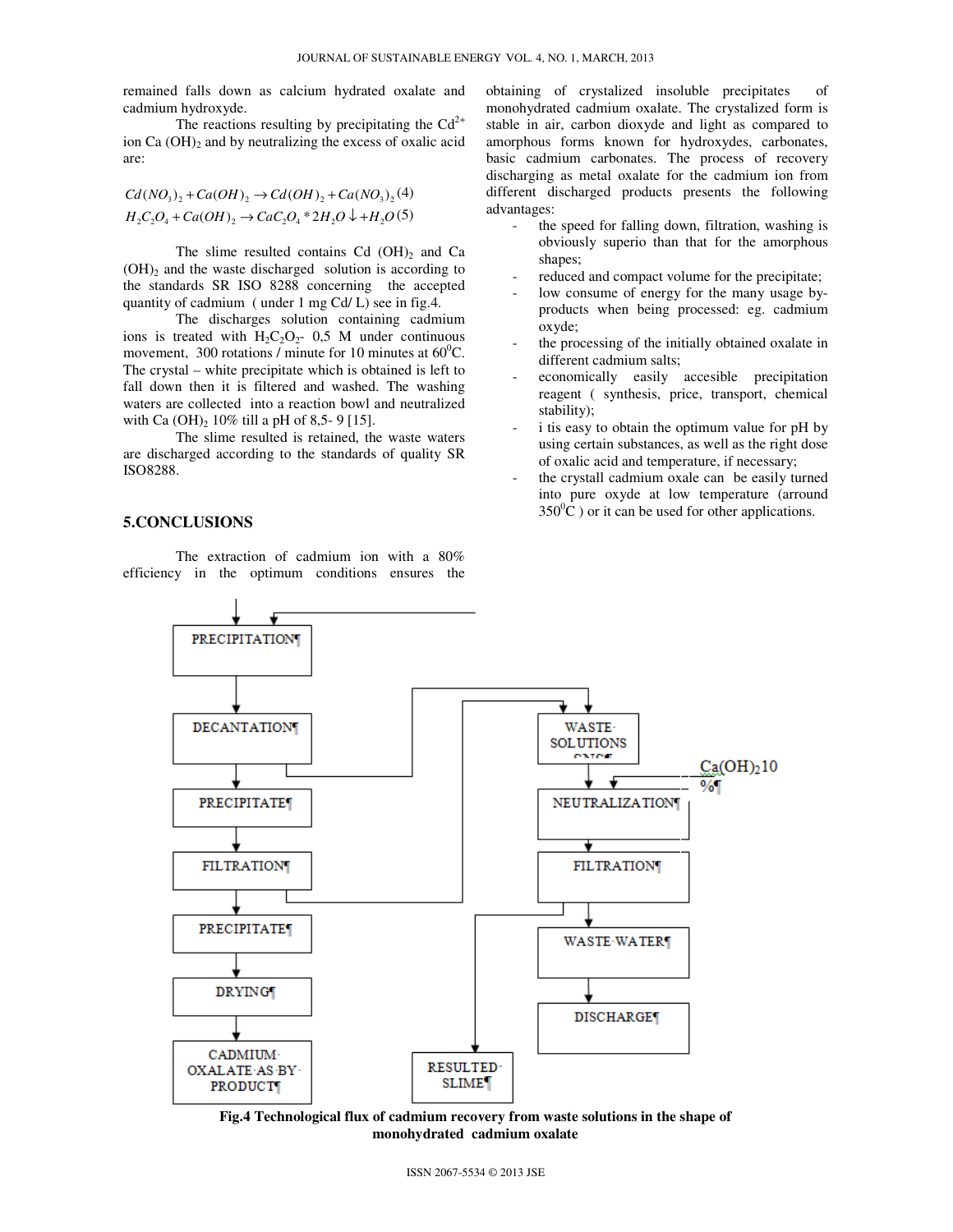remained falls down as calcium hydrated oxalate and cadmium hydroxyde.

The reactions resulting by precipitating the  $Cd^{2+}$ ion Ca  $(OH)_2$  and by neutralizing the excess of oxalic acid are:

$$
Cd(NO3)2 + Ca(OH)2 \rightarrow Cd(OH)2 + Ca(NO3)2(4)
$$
  
H<sub>2</sub>C<sub>2</sub>O<sub>4</sub> + Ca(OH)<sub>2</sub> \rightarrow CaC<sub>2</sub>O<sub>4</sub> \* 2H<sub>2</sub>O  $\downarrow$  +H<sub>2</sub>O(5)

The slime resulted contains Cd  $(OH)_2$  and Ca  $(OH)_2$  and the waste discharged solution is according to the standards SR ISO 8288 concerning the accepted quantity of cadmium ( under 1 mg Cd/ L) see in fig.4.

 The discharges solution containing cadmium ions is treated with  $H_2C_2O_2$ - 0,5 M under continuous movement, 300 rotations / minute for 10 minutes at  $60^{\circ}$ C. The crystal – white precipitate which is obtained is left to fall down then it is filtered and washed. The washing waters are collected into a reaction bowl and neutralized with Ca  $(OH)_2$  10% till a pH of 8,5- 9 [15].

 The slime resulted is retained, the waste waters are discharged according to the standards of quality SR ISO8288.

## **5.CONCLUSIONS**

 The extraction of cadmium ion with a 80% efficiency in the optimum conditions ensures the

- obtaining of crystalized insoluble precipitates of monohydrated cadmium oxalate. The crystalized form is stable in air, carbon dioxyde and light as compared to amorphous forms known for hydroxydes, carbonates, basic cadmium carbonates. The process of recovery discharging as metal oxalate for the cadmium ion from different discharged products presents the following advantages:
	- the speed for falling down, filtration, washing is obviously superio than that for the amorphous shapes;
	- reduced and compact volume for the precipitate;
	- low consume of energy for the many usage byproducts when being processed: eg. cadmium oxyde;
	- the processing of the initially obtained oxalate in different cadmium salts;
	- economically easily accesible precipitation reagent ( synthesis, price, transport, chemical stability);
	- i tis easy to obtain the optimum value for pH by using certain substances, as well as the right dose of oxalic acid and temperature, if necessary;
	- the crystall cadmium oxale can be easily turned into pure oxyde at low temperature (arround  $350^0$ C) or it can be used for other applications.



**Fig.4 Technological flux of cadmium recovery from waste solutions in the shape of monohydrated cadmium oxalate**